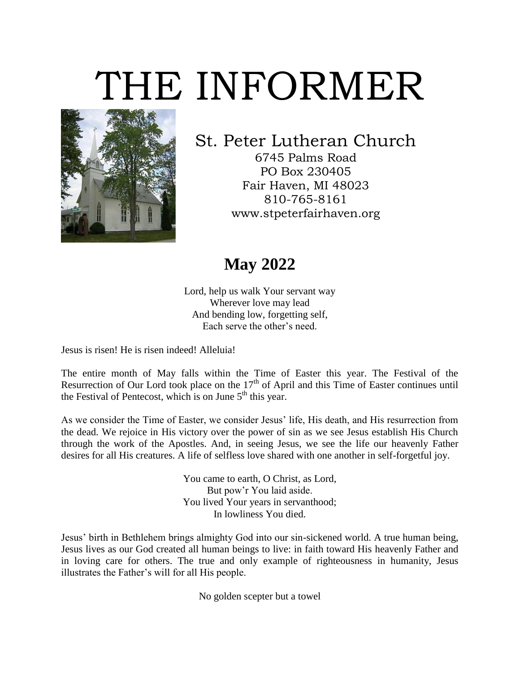## THE INFORMER



## St. Peter Lutheran Church

6745 Palms Road PO Box 230405 Fair Haven, MI 48023 810-765-8161 www.stpeterfairhaven.org

## **May 2022**

Lord, help us walk Your servant way Wherever love may lead And bending low, forgetting self, Each serve the other's need.

Jesus is risen! He is risen indeed! Alleluia!

The entire month of May falls within the Time of Easter this year. The Festival of the Resurrection of Our Lord took place on the  $17<sup>th</sup>$  of April and this Time of Easter continues until the Festival of Pentecost, which is on June  $5<sup>th</sup>$  this year.

As we consider the Time of Easter, we consider Jesus' life, His death, and His resurrection from the dead. We rejoice in His victory over the power of sin as we see Jesus establish His Church through the work of the Apostles. And, in seeing Jesus, we see the life our heavenly Father desires for all His creatures. A life of selfless love shared with one another in self-forgetful joy.

> You came to earth, O Christ, as Lord, But pow'r You laid aside. You lived Your years in servanthood; In lowliness You died.

Jesus' birth in Bethlehem brings almighty God into our sin-sickened world. A true human being, Jesus lives as our God created all human beings to live: in faith toward His heavenly Father and in loving care for others. The true and only example of righteousness in humanity, Jesus illustrates the Father's will for all His people.

No golden scepter but a towel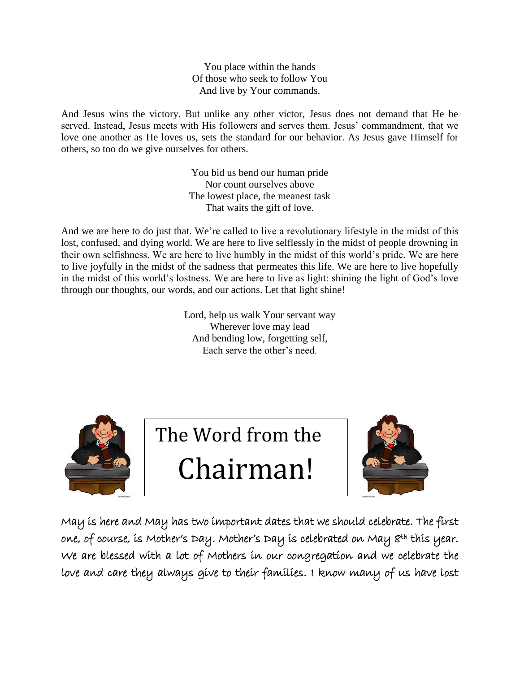You place within the hands Of those who seek to follow You And live by Your commands.

And Jesus wins the victory. But unlike any other victor, Jesus does not demand that He be served. Instead, Jesus meets with His followers and serves them. Jesus' commandment, that we love one another as He loves us, sets the standard for our behavior. As Jesus gave Himself for others, so too do we give ourselves for others.

> You bid us bend our human pride Nor count ourselves above The lowest place, the meanest task That waits the gift of love.

And we are here to do just that. We're called to live a revolutionary lifestyle in the midst of this lost, confused, and dying world. We are here to live selflessly in the midst of people drowning in their own selfishness. We are here to live humbly in the midst of this world's pride. We are here to live joyfully in the midst of the sadness that permeates this life. We are here to live hopefully in the midst of this world's lostness. We are here to live as light: shining the light of God's love through our thoughts, our words, and our actions. Let that light shine!

> Lord, help us walk Your servant way Wherever love may lead And bending low, forgetting self, Each serve the other's need.



The Word from the

Chairman!



May is here and May has two important dates that we should celebrate. The first one, of course, is Mother's Day. Mother's Day is celebrated on May 8<sup>th</sup> this year. We are blessed with a lot of Mothers in our congregation and we celebrate the love and care they always give to their families. I know many of us have lost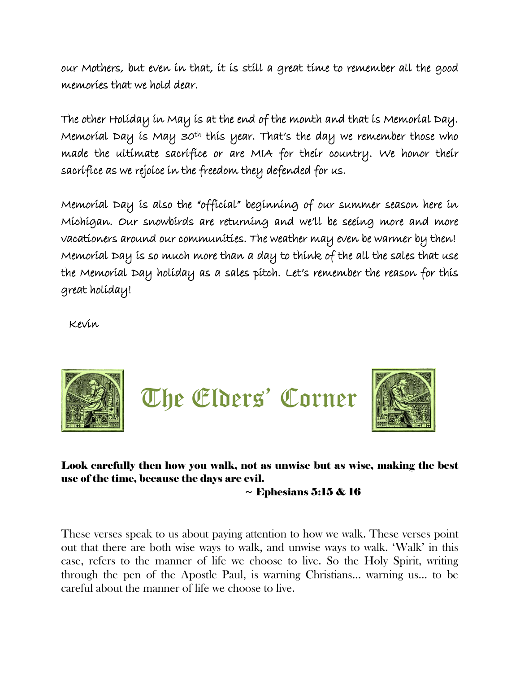our Mothers, but even in that, it is still a great time to remember all the good memories that we hold dear.

The other Holiday in May is at the end of the month and that is Memorial Day. Memoríal Day ís May 30<sup>th</sup> thís year. That's the day we remember those who made the ultimate sacrifice or are MIA for their country. We honor their sacrifice as we rejoice in the freedom they defended for us.

Memorial Day is also the "official" beginning of our summer season here in Michigan. Our snowbirds are returning and we'll be seeing more and more vacationers around our communities. The weather may even be warmer by then! Memorial Day is so much more than a day to think of the all the sales that use the Memorial Day holiday as a sales pitch. Let's remember the reason for this great holiday!

Kevin



Look carefully then how you walk, not as unwise but as wise, making the best use of the time, because the days are evil.

 $\sim$  Ephesians 5:15 & 16

These verses speak to us about paying attention to how we walk. These verses point out that there are both wise ways to walk, and unwise ways to walk. 'Walk' in this case, refers to the manner of life we choose to live. So the Holy Spirit, writing through the pen of the Apostle Paul, is warning Christians… warning us… to be careful about the manner of life we choose to live.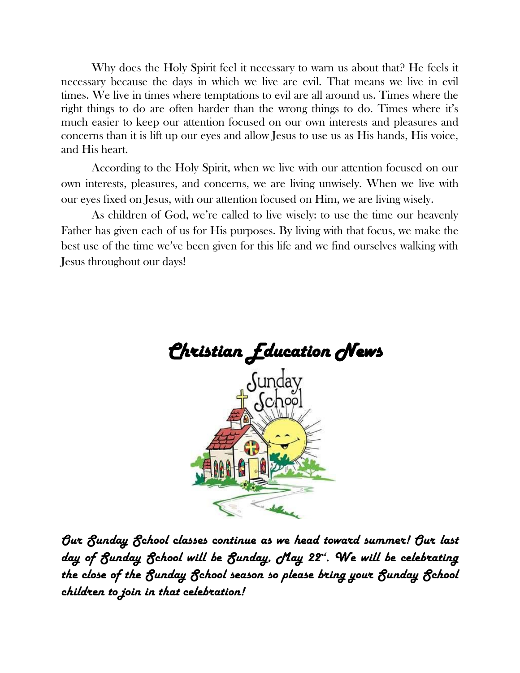Why does the Holy Spirit feel it necessary to warn us about that? He feels it necessary because the days in which we live are evil. That means we live in evil times. We live in times where temptations to evil are all around us. Times where the right things to do are often harder than the wrong things to do. Times where it's much easier to keep our attention focused on our own interests and pleasures and concerns than it is lift up our eyes and allow Jesus to use us as His hands, His voice, and His heart.

According to the Holy Spirit, when we live with our attention focused on our own interests, pleasures, and concerns, we are living unwisely. When we live with our eyes fixed on Jesus, with our attention focused on Him, we are living wisely.

As children of God, we're called to live wisely: to use the time our heavenly Father has given each of us for His purposes. By living with that focus, we make the best use of the time we've been given for this life and we find ourselves walking with Jesus throughout our days!



*Our Sunday School classes continue as we head toward summer! Our last day of Sunday School will be Sunday, May 22nd. We will be celebrating the close of the Sunday School season so please bring your Sunday School children to join in that celebration!*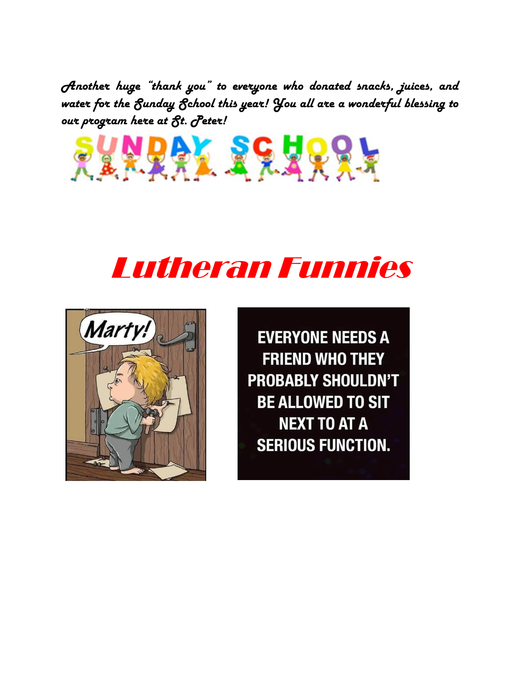*Another huge "thank you" to everyone who donated snacks, juices, and water for the Sunday School this year! You all are a wonderful blessing to our program here at St. Peter!* 







**EVERYONE NEEDS A FRIEND WHO THEY PROBABLY SHOULDN'T BE ALLOWED TO SIT NEXT TO AT A SERIOUS FUNCTION.**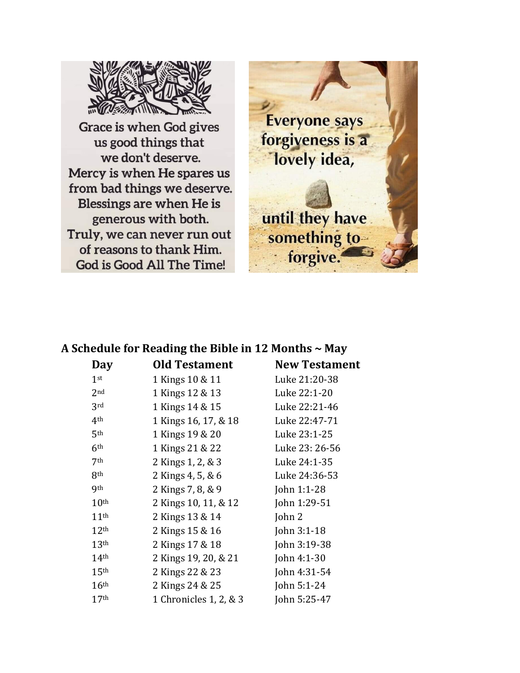

Grace is when God gives us good things that we don't deserve. Mercy is when He spares us from bad things we deserve. Blessings are when He is generous with both. Truly, we can never run out of reasons to thank Him. God is Good All The Time!



## **A Schedule for Reading the Bible in 12 Months ~ May**

| Day              | <b>Old Testament</b>   | <b>New Testament</b> |
|------------------|------------------------|----------------------|
| 1 <sup>st</sup>  | 1 Kings 10 & 11        | Luke 21:20-38        |
| 2 <sub>nd</sub>  | 1 Kings 12 & 13        | Luke 22:1-20         |
| 3rd              | 1 Kings 14 & 15        | Luke 22:21-46        |
| 4 <sup>th</sup>  | 1 Kings 16, 17, & 18   | Luke 22:47-71        |
| 5 <sup>th</sup>  | 1 Kings 19 & 20        | Luke 23:1-25         |
| 6 <sup>th</sup>  | 1 Kings 21 & 22        | Luke 23: 26-56       |
| 7 <sup>th</sup>  | 2 Kings 1, 2, & 3      | Luke 24:1-35         |
| 8 <sup>th</sup>  | 2 Kings 4, 5, & 6      | Luke 24:36-53        |
| <b>9th</b>       | 2 Kings 7, 8, & 9      | John 1:1-28          |
| 10 <sup>th</sup> | 2 Kings 10, 11, & 12   | John 1:29-51         |
| 11 <sup>th</sup> | 2 Kings 13 & 14        | John 2               |
| 12 <sup>th</sup> | 2 Kings 15 & 16        | John 3:1-18          |
| 13 <sup>th</sup> | 2 Kings 17 & 18        | John 3:19-38         |
| 14 <sup>th</sup> | 2 Kings 19, 20, & 21   | John 4:1-30          |
| 15 <sup>th</sup> | 2 Kings 22 & 23        | John 4:31-54         |
| 16 <sup>th</sup> | 2 Kings 24 & 25        | John $5:1-24$        |
| 17 <sup>th</sup> | 1 Chronicles 1, 2, & 3 | John 5:25-47         |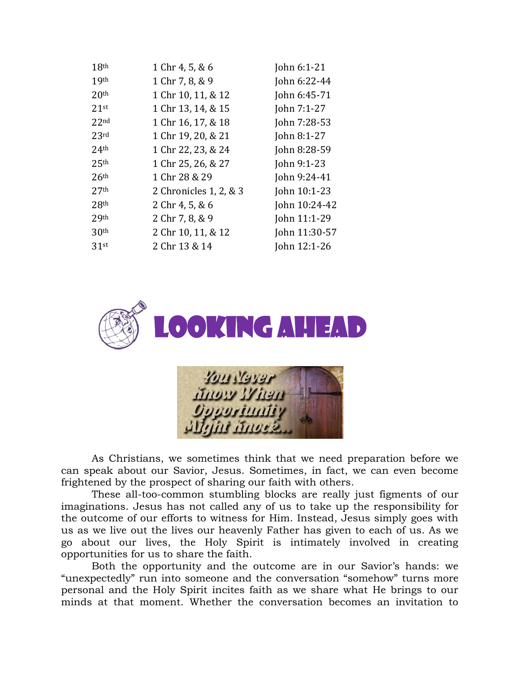| 18 <sup>th</sup> | 1 Chr 4, 5, & 6        | John 6:1-21   |
|------------------|------------------------|---------------|
| 19 <sup>th</sup> | 1 Chr 7, 8, & 9        | John 6:22-44  |
| 20 <sup>th</sup> | 1 Chr 10, 11, & 12     | John 6:45-71  |
| $2.1$ st         | 1 Chr 13, 14, & 15     | John 7:1-27   |
| 22 <sub>nd</sub> | 1 Chr 16, 17, & 18     | John 7:28-53  |
| 23rd             | 1 Chr 19, 20, & 21     | John 8:1-27   |
| 24 <sup>th</sup> | 1 Chr 22, 23, & 24     | John 8:28-59  |
| 25 <sup>th</sup> | 1 Chr 25, 26, & 27     | John 9:1-23   |
| 26 <sup>th</sup> | 1 Chr 28 & 29          | John 9:24-41  |
| 27 <sup>th</sup> | 2 Chronicles 1, 2, & 3 | John 10:1-23  |
| 28 <sup>th</sup> | 2 Chr 4, 5, & 6        | John 10:24-42 |
| 29th             | 2 Chr 7, 8, & 9        | John 11:1-29  |
| 30 <sup>th</sup> | 2 Chr 10, 11, & 12     | John 11:30-57 |
| 31st             | 2 Chr 13 & 14          | John 12:1-26  |



| <b>YOU NGYAF</b>         |  |
|--------------------------|--|
| <b>Angw When</b>         |  |
| <i><b>Gyystantiy</b></i> |  |
| Allyin Knock             |  |

As Christians, we sometimes think that we need preparation before we can speak about our Savior, Jesus. Sometimes, in fact, we can even become frightened by the prospect of sharing our faith with others.

These all-too-common stumbling blocks are really just figments of our imaginations. Jesus has not called any of us to take up the responsibility for the outcome of our efforts to witness for Him. Instead, Jesus simply goes with us as we live out the lives our heavenly Father has given to each of us. As we go about our lives, the Holy Spirit is intimately involved in creating opportunities for us to share the faith.

Both the opportunity and the outcome are in our Savior's hands: we "unexpectedly" run into someone and the conversation "somehow" turns more personal and the Holy Spirit incites faith as we share what He brings to our minds at that moment. Whether the conversation becomes an invitation to